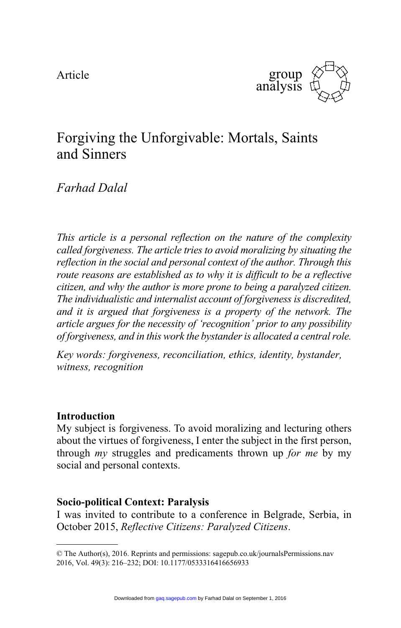Article



# Forgiving the Unforgivable: Mortals, Saints and Sinners

# *Farhad Dalal*

*This article is a personal reflection on the nature of the complexity called forgiveness. The article tries to avoid moralizing by situating the reflection in the social and personal context of the author. Through this route reasons are established as to why it is difficult to be a reflective citizen, and why the author is more prone to being a paralyzed citizen. The individualistic and internalist account of forgiveness is discredited, and it is argued that forgiveness is a property of the network. The article argues for the necessity of 'recognition' prior to any possibility of forgiveness, and in this work the bystander is allocated a central role.*

*Key words: forgiveness, reconciliation, ethics, identity, bystander, witness, recognition*

# **Introduction**

My subject is forgiveness. To avoid moralizing and lecturing others about the virtues of forgiveness, I enter the subject in the first person, through *my* struggles and predicaments thrown up *for me* by my social and personal contexts.

# **Socio-political Context: Paralysis**

I was invited to contribute to a conference in Belgrade, Serbia, in October 2015, *Reflective Citizens: Paralyzed Citizens*.

<sup>©</sup> The Author(s), 2016. Reprints and permissions: sagepub.co.uk/journalsPermissions.nav 2016, Vol. 49(3): 216–232; DOI: 10.1177/0533316416656933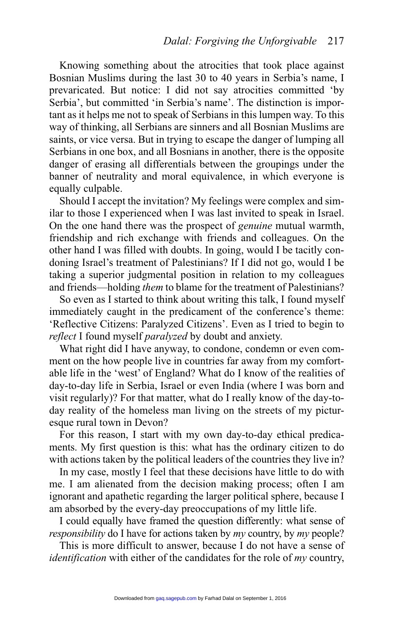Knowing something about the atrocities that took place against Bosnian Muslims during the last 30 to 40 years in Serbia's name, I prevaricated. But notice: I did not say atrocities committed 'by Serbia', but committed 'in Serbia's name'. The distinction is important as it helps me not to speak of Serbians in this lumpen way. To this way of thinking, all Serbians are sinners and all Bosnian Muslims are saints, or vice versa. But in trying to escape the danger of lumping all Serbians in one box, and all Bosnians in another, there is the opposite danger of erasing all differentials between the groupings under the banner of neutrality and moral equivalence, in which everyone is equally culpable.

Should I accept the invitation? My feelings were complex and similar to those I experienced when I was last invited to speak in Israel. On the one hand there was the prospect of *genuine* mutual warmth, friendship and rich exchange with friends and colleagues. On the other hand I was filled with doubts. In going, would I be tacitly condoning Israel's treatment of Palestinians? If I did not go, would I be taking a superior judgmental position in relation to my colleagues and friends—holding *them* to blame for the treatment of Palestinians?

So even as I started to think about writing this talk, I found myself immediately caught in the predicament of the conference's theme: 'Reflective Citizens: Paralyzed Citizens'. Even as I tried to begin to *reflect* I found myself *paralyzed* by doubt and anxiety.

What right did I have anyway, to condone, condemn or even comment on the how people live in countries far away from my comfortable life in the 'west' of England? What do I know of the realities of day-to-day life in Serbia, Israel or even India (where I was born and visit regularly)? For that matter, what do I really know of the day-today reality of the homeless man living on the streets of my picturesque rural town in Devon?

For this reason, I start with my own day-to-day ethical predicaments. My first question is this: what has the ordinary citizen to do with actions taken by the political leaders of the countries they live in?

In my case, mostly I feel that these decisions have little to do with me. I am alienated from the decision making process; often I am ignorant and apathetic regarding the larger political sphere, because I am absorbed by the every-day preoccupations of my little life.

I could equally have framed the question differently: what sense of *responsibility* do I have for actions taken by *my* country, by *my* people?

This is more difficult to answer, because I do not have a sense of *identification* with either of the candidates for the role of *my* country,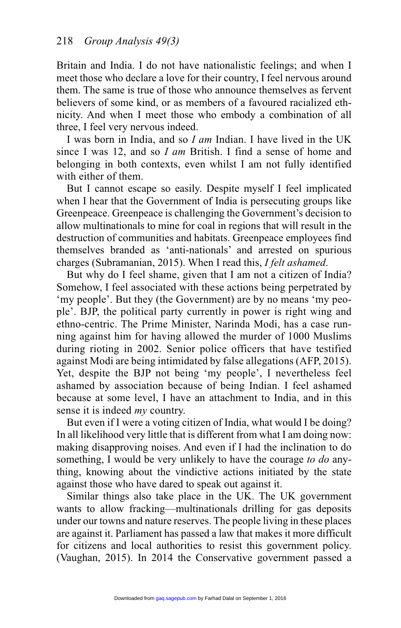Britain and India. I do not have nationalistic feelings; and when I meet those who declare a love for their country, I feel nervous around them. The same is true of those who announce themselves as fervent believers of some kind, or as members of a favoured racialized ethnicity. And when I meet those who embody a combination of all three, I feel very nervous indeed.

I was born in India, and so *I am* Indian. I have lived in the UK since I was 12, and so *I am* British. I find a sense of home and belonging in both contexts, even whilst I am not fully identified with either of them.

But I cannot escape so easily. Despite myself I feel implicated when I hear that the Government of India is persecuting groups like Greenpeace. Greenpeace is challenging the Government's decision to allow multinationals to mine for coal in regions that will result in the destruction of communities and habitats. Greenpeace employees find themselves branded as 'anti-nationals' and arrested on spurious charges (Subramanian, 2015). When I read this, *I felt ashamed*.

But why do I feel shame, given that I am not a citizen of India? Somehow, I feel associated with these actions being perpetrated by 'my people'. But they (the Government) are by no means 'my people'. BJP, the political party currently in power is right wing and ethno-centric. The Prime Minister, Narinda Modi, has a case running against him for having allowed the murder of 1000 Muslims during rioting in 2002. Senior police officers that have testified against Modi are being intimidated by false allegations (AFP, 2015). Yet, despite the BJP not being 'my people', I nevertheless feel ashamed by association because of being Indian. I feel ashamed because at some level, I have an attachment to India, and in this sense it is indeed *my* country.

But even if I were a voting citizen of India, what would I be doing? In all likelihood very little that is different from what I am doing now: making disapproving noises. And even if I had the inclination to do something, I would be very unlikely to have the courage *to do* anything, knowing about the vindictive actions initiated by the state against those who have dared to speak out against it.

Similar things also take place in the UK. The UK government wants to allow fracking—multinationals drilling for gas deposits under our towns and nature reserves. The people living in these places are against it. Parliament has passed a law that makes it more difficult for citizens and local authorities to resist this government policy. (Vaughan, 2015). In 2014 the Conservative government passed a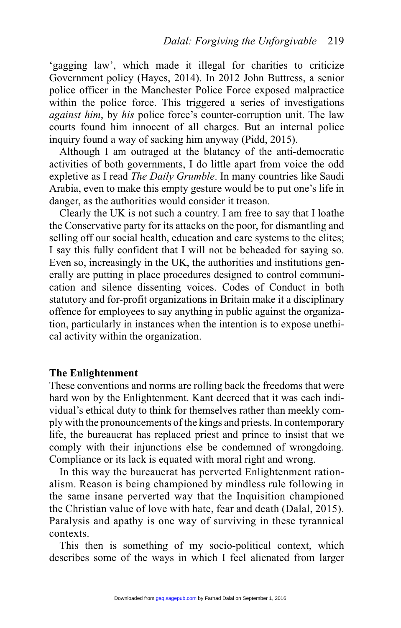'gagging law', which made it illegal for charities to criticize Government policy (Hayes, 2014). In 2012 John Buttress, a senior police officer in the Manchester Police Force exposed malpractice within the police force. This triggered a series of investigations *against him*, by *his* police force's counter-corruption unit. The law courts found him innocent of all charges. But an internal police inquiry found a way of sacking him anyway (Pidd, 2015).

Although I am outraged at the blatancy of the anti-democratic activities of both governments, I do little apart from voice the odd expletive as I read *The Daily Grumble*. In many countries like Saudi Arabia, even to make this empty gesture would be to put one's life in danger, as the authorities would consider it treason.

Clearly the UK is not such a country. I am free to say that I loathe the Conservative party for its attacks on the poor, for dismantling and selling off our social health, education and care systems to the elites; I say this fully confident that I will not be beheaded for saying so. Even so, increasingly in the UK, the authorities and institutions generally are putting in place procedures designed to control communication and silence dissenting voices. Codes of Conduct in both statutory and for-profit organizations in Britain make it a disciplinary offence for employees to say anything in public against the organization, particularly in instances when the intention is to expose unethical activity within the organization.

#### **The Enlightenment**

These conventions and norms are rolling back the freedoms that were hard won by the Enlightenment. Kant decreed that it was each individual's ethical duty to think for themselves rather than meekly comply with the pronouncements of the kings and priests. In contemporary life, the bureaucrat has replaced priest and prince to insist that we comply with their injunctions else be condemned of wrongdoing. Compliance or its lack is equated with moral right and wrong.

In this way the bureaucrat has perverted Enlightenment rationalism. Reason is being championed by mindless rule following in the same insane perverted way that the Inquisition championed the Christian value of love with hate, fear and death (Dalal, 2015). Paralysis and apathy is one way of surviving in these tyrannical contexts.

This then is something of my socio-political context, which describes some of the ways in which I feel alienated from larger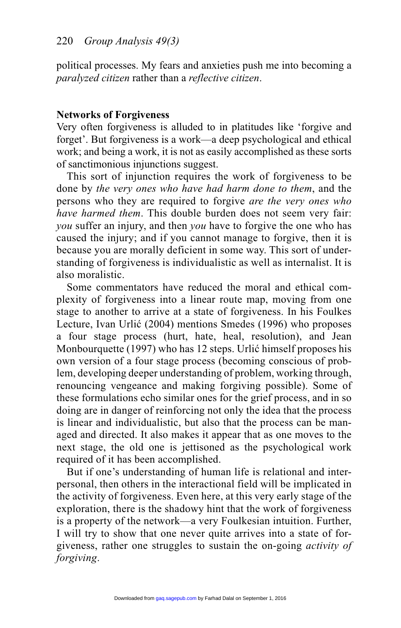political processes. My fears and anxieties push me into becoming a *paralyzed citizen* rather than a *reflective citizen*.

### **Networks of Forgiveness**

Very often forgiveness is alluded to in platitudes like 'forgive and forget'. But forgiveness is a work—a deep psychological and ethical work; and being a work, it is not as easily accomplished as these sorts of sanctimonious injunctions suggest.

This sort of injunction requires the work of forgiveness to be done by *the very ones who have had harm done to them*, and the persons who they are required to forgive *are the very ones who have harmed them*. This double burden does not seem very fair: *you* suffer an injury, and then *you* have to forgive the one who has caused the injury; and if you cannot manage to forgive, then it is because you are morally deficient in some way. This sort of understanding of forgiveness is individualistic as well as internalist. It is also moralistic.

Some commentators have reduced the moral and ethical complexity of forgiveness into a linear route map, moving from one stage to another to arrive at a state of forgiveness. In his Foulkes Lecture, Ivan Urlić (2004) mentions Smedes (1996) who proposes a four stage process (hurt, hate, heal, resolution), and Jean Monbourquette (1997) who has 12 steps. Urlić himself proposes his own version of a four stage process (becoming conscious of problem, developing deeper understanding of problem, working through, renouncing vengeance and making forgiving possible). Some of these formulations echo similar ones for the grief process, and in so doing are in danger of reinforcing not only the idea that the process is linear and individualistic, but also that the process can be managed and directed. It also makes it appear that as one moves to the next stage, the old one is jettisoned as the psychological work required of it has been accomplished.

But if one's understanding of human life is relational and interpersonal, then others in the interactional field will be implicated in the activity of forgiveness. Even here, at this very early stage of the exploration, there is the shadowy hint that the work of forgiveness is a property of the network—a very Foulkesian intuition. Further, I will try to show that one never quite arrives into a state of forgiveness, rather one struggles to sustain the on-going *activity of forgiving*.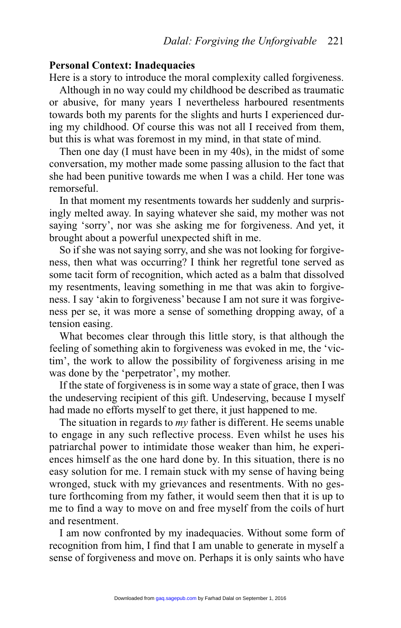#### **Personal Context: Inadequacies**

Here is a story to introduce the moral complexity called forgiveness.

Although in no way could my childhood be described as traumatic or abusive, for many years I nevertheless harboured resentments towards both my parents for the slights and hurts I experienced during my childhood. Of course this was not all I received from them, but this is what was foremost in my mind, in that state of mind.

Then one day (I must have been in my 40s), in the midst of some conversation, my mother made some passing allusion to the fact that she had been punitive towards me when I was a child. Her tone was remorseful.

In that moment my resentments towards her suddenly and surprisingly melted away. In saying whatever she said, my mother was not saying 'sorry', nor was she asking me for forgiveness. And yet, it brought about a powerful unexpected shift in me.

So if she was not saying sorry, and she was not looking for forgiveness, then what was occurring? I think her regretful tone served as some tacit form of recognition, which acted as a balm that dissolved my resentments, leaving something in me that was akin to forgiveness. I say 'akin to forgiveness' because I am not sure it was forgiveness per se, it was more a sense of something dropping away, of a tension easing.

What becomes clear through this little story, is that although the feeling of something akin to forgiveness was evoked in me, the 'victim', the work to allow the possibility of forgiveness arising in me was done by the 'perpetrator', my mother.

If the state of forgiveness is in some way a state of grace, then I was the undeserving recipient of this gift. Undeserving, because I myself had made no efforts myself to get there, it just happened to me.

The situation in regards to *my* father is different. He seems unable to engage in any such reflective process. Even whilst he uses his patriarchal power to intimidate those weaker than him, he experiences himself as the one hard done by. In this situation, there is no easy solution for me. I remain stuck with my sense of having being wronged, stuck with my grievances and resentments. With no gesture forthcoming from my father, it would seem then that it is up to me to find a way to move on and free myself from the coils of hurt and resentment.

I am now confronted by my inadequacies. Without some form of recognition from him, I find that I am unable to generate in myself a sense of forgiveness and move on. Perhaps it is only saints who have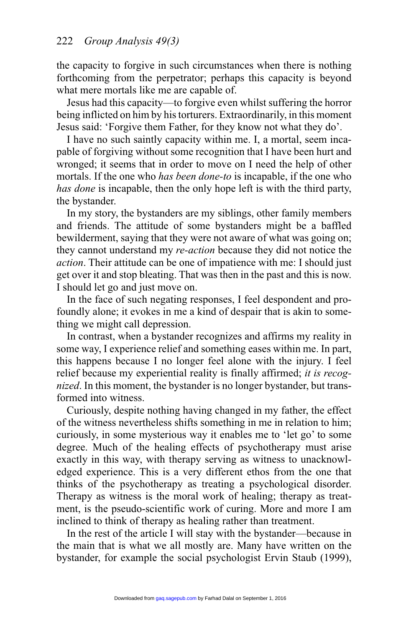the capacity to forgive in such circumstances when there is nothing forthcoming from the perpetrator; perhaps this capacity is beyond what mere mortals like me are capable of.

Jesus had this capacity—to forgive even whilst suffering the horror being inflicted on him by his torturers. Extraordinarily, in this moment Jesus said: 'Forgive them Father, for they know not what they do'.

I have no such saintly capacity within me. I, a mortal, seem incapable of forgiving without some recognition that I have been hurt and wronged; it seems that in order to move on I need the help of other mortals. If the one who *has been done-to* is incapable, if the one who *has done* is incapable, then the only hope left is with the third party, the bystander.

In my story, the bystanders are my siblings, other family members and friends. The attitude of some bystanders might be a baffled bewilderment, saying that they were not aware of what was going on; they cannot understand my *re-action* because they did not notice the *action*. Their attitude can be one of impatience with me: I should just get over it and stop bleating. That was then in the past and this is now. I should let go and just move on.

In the face of such negating responses, I feel despondent and profoundly alone; it evokes in me a kind of despair that is akin to something we might call depression.

In contrast, when a bystander recognizes and affirms my reality in some way, I experience relief and something eases within me. In part, this happens because I no longer feel alone with the injury. I feel relief because my experiential reality is finally affirmed; *it is recognized*. In this moment, the bystander is no longer bystander, but transformed into witness.

Curiously, despite nothing having changed in my father, the effect of the witness nevertheless shifts something in me in relation to him; curiously, in some mysterious way it enables me to 'let go' to some degree. Much of the healing effects of psychotherapy must arise exactly in this way, with therapy serving as witness to unacknowledged experience. This is a very different ethos from the one that thinks of the psychotherapy as treating a psychological disorder. Therapy as witness is the moral work of healing; therapy as treatment, is the pseudo-scientific work of curing. More and more I am inclined to think of therapy as healing rather than treatment.

In the rest of the article I will stay with the bystander—because in the main that is what we all mostly are. Many have written on the bystander, for example the social psychologist Ervin Staub (1999),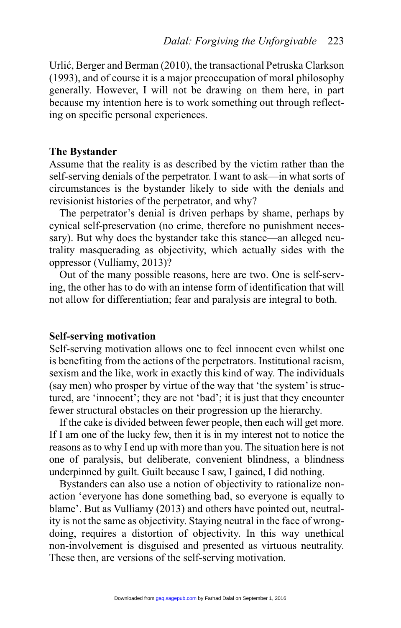Urlić, Berger and Berman (2010), the transactional Petruska Clarkson (1993), and of course it is a major preoccupation of moral philosophy generally. However, I will not be drawing on them here, in part because my intention here is to work something out through reflecting on specific personal experiences.

### **The Bystander**

Assume that the reality is as described by the victim rather than the self-serving denials of the perpetrator. I want to ask—in what sorts of circumstances is the bystander likely to side with the denials and revisionist histories of the perpetrator, and why?

The perpetrator's denial is driven perhaps by shame, perhaps by cynical self-preservation (no crime, therefore no punishment necessary). But why does the bystander take this stance—an alleged neutrality masquerading as objectivity, which actually sides with the oppressor (Vulliamy, 2013)?

Out of the many possible reasons, here are two. One is self-serving, the other has to do with an intense form of identification that will not allow for differentiation; fear and paralysis are integral to both.

# **Self-serving motivation**

Self-serving motivation allows one to feel innocent even whilst one is benefiting from the actions of the perpetrators. Institutional racism, sexism and the like, work in exactly this kind of way. The individuals (say men) who prosper by virtue of the way that 'the system' is structured, are 'innocent'; they are not 'bad'; it is just that they encounter fewer structural obstacles on their progression up the hierarchy.

If the cake is divided between fewer people, then each will get more. If I am one of the lucky few, then it is in my interest not to notice the reasons as to why I end up with more than you. The situation here is not one of paralysis, but deliberate, convenient blindness, a blindness underpinned by guilt. Guilt because I saw, I gained, I did nothing.

Bystanders can also use a notion of objectivity to rationalize nonaction 'everyone has done something bad, so everyone is equally to blame'. But as Vulliamy (2013) and others have pointed out, neutrality is not the same as objectivity. Staying neutral in the face of wrongdoing, requires a distortion of objectivity. In this way unethical non-involvement is disguised and presented as virtuous neutrality. These then, are versions of the self-serving motivation.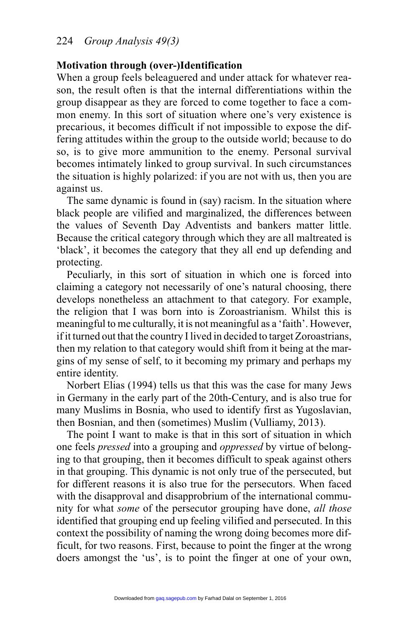### **Motivation through (over-)Identification**

When a group feels beleaguered and under attack for whatever reason, the result often is that the internal differentiations within the group disappear as they are forced to come together to face a common enemy. In this sort of situation where one's very existence is precarious, it becomes difficult if not impossible to expose the differing attitudes within the group to the outside world; because to do so, is to give more ammunition to the enemy. Personal survival becomes intimately linked to group survival. In such circumstances the situation is highly polarized: if you are not with us, then you are against us.

The same dynamic is found in (say) racism. In the situation where black people are vilified and marginalized, the differences between the values of Seventh Day Adventists and bankers matter little. Because the critical category through which they are all maltreated is 'black', it becomes the category that they all end up defending and protecting.

Peculiarly, in this sort of situation in which one is forced into claiming a category not necessarily of one's natural choosing, there develops nonetheless an attachment to that category. For example, the religion that I was born into is Zoroastrianism. Whilst this is meaningful to me culturally, it is not meaningful as a 'faith'. However, if it turned out that the country I lived in decided to target Zoroastrians, then my relation to that category would shift from it being at the margins of my sense of self, to it becoming my primary and perhaps my entire identity.

Norbert Elias (1994) tells us that this was the case for many Jews in Germany in the early part of the 20th-Century, and is also true for many Muslims in Bosnia, who used to identify first as Yugoslavian, then Bosnian, and then (sometimes) Muslim (Vulliamy, 2013).

The point I want to make is that in this sort of situation in which one feels *pressed* into a grouping and *oppressed* by virtue of belonging to that grouping, then it becomes difficult to speak against others in that grouping. This dynamic is not only true of the persecuted, but for different reasons it is also true for the persecutors. When faced with the disapproval and disapprobrium of the international community for what *some* of the persecutor grouping have done, *all those* identified that grouping end up feeling vilified and persecuted. In this context the possibility of naming the wrong doing becomes more difficult, for two reasons. First, because to point the finger at the wrong doers amongst the 'us', is to point the finger at one of your own,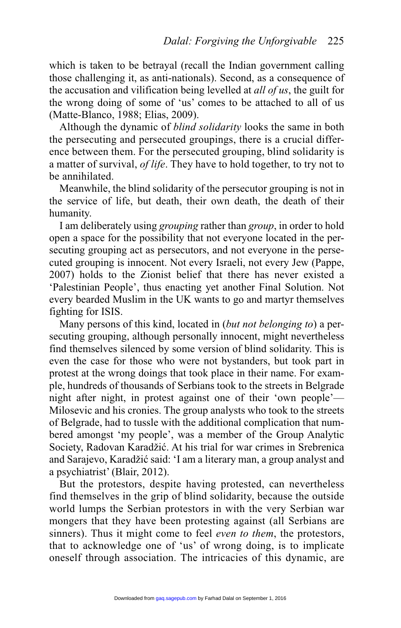which is taken to be betrayal (recall the Indian government calling those challenging it, as anti-nationals). Second, as a consequence of the accusation and vilification being levelled at *all of us*, the guilt for the wrong doing of some of 'us' comes to be attached to all of us (Matte-Blanco, 1988; Elias, 2009).

Although the dynamic of *blind solidarity* looks the same in both the persecuting and persecuted groupings, there is a crucial difference between them. For the persecuted grouping, blind solidarity is a matter of survival, *of life*. They have to hold together, to try not to be annihilated.

Meanwhile, the blind solidarity of the persecutor grouping is not in the service of life, but death, their own death, the death of their humanity.

I am deliberately using *grouping* rather than *group*, in order to hold open a space for the possibility that not everyone located in the persecuting grouping act as persecutors, and not everyone in the persecuted grouping is innocent. Not every Israeli, not every Jew (Pappe, 2007) holds to the Zionist belief that there has never existed a 'Palestinian People', thus enacting yet another Final Solution. Not every bearded Muslim in the UK wants to go and martyr themselves fighting for ISIS.

Many persons of this kind, located in (*but not belonging to*) a persecuting grouping, although personally innocent, might nevertheless find themselves silenced by some version of blind solidarity. This is even the case for those who were not bystanders, but took part in protest at the wrong doings that took place in their name. For example, hundreds of thousands of Serbians took to the streets in Belgrade night after night, in protest against one of their 'own people'— Milosevic and his cronies. The group analysts who took to the streets of Belgrade, had to tussle with the additional complication that numbered amongst 'my people', was a member of the Group Analytic Society, Radovan Karadžić. At his trial for war crimes in Srebrenica and Sarajevo, Karadžić said: 'I am a literary man, a group analyst and a psychiatrist' (Blair, 2012).

But the protestors, despite having protested, can nevertheless find themselves in the grip of blind solidarity, because the outside world lumps the Serbian protestors in with the very Serbian war mongers that they have been protesting against (all Serbians are sinners). Thus it might come to feel *even to them*, the protestors, that to acknowledge one of 'us' of wrong doing, is to implicate oneself through association. The intricacies of this dynamic, are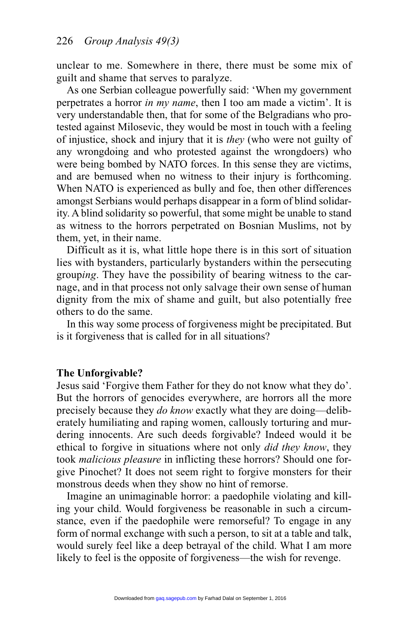unclear to me. Somewhere in there, there must be some mix of guilt and shame that serves to paralyze.

As one Serbian colleague powerfully said: 'When my government perpetrates a horror *in my name*, then I too am made a victim'. It is very understandable then, that for some of the Belgradians who protested against Milosevic, they would be most in touch with a feeling of injustice, shock and injury that it is *they* (who were not guilty of any wrongdoing and who protested against the wrongdoers) who were being bombed by NATO forces. In this sense they are victims, and are bemused when no witness to their injury is forthcoming. When NATO is experienced as bully and foe, then other differences amongst Serbians would perhaps disappear in a form of blind solidarity. A blind solidarity so powerful, that some might be unable to stand as witness to the horrors perpetrated on Bosnian Muslims, not by them, yet, in their name.

Difficult as it is, what little hope there is in this sort of situation lies with bystanders, particularly bystanders within the persecuting group*ing*. They have the possibility of bearing witness to the carnage, and in that process not only salvage their own sense of human dignity from the mix of shame and guilt, but also potentially free others to do the same.

In this way some process of forgiveness might be precipitated. But is it forgiveness that is called for in all situations?

#### **The Unforgivable?**

Jesus said 'Forgive them Father for they do not know what they do'. But the horrors of genocides everywhere, are horrors all the more precisely because they *do know* exactly what they are doing—deliberately humiliating and raping women, callously torturing and murdering innocents. Are such deeds forgivable? Indeed would it be ethical to forgive in situations where not only *did they know*, they took *malicious pleasure* in inflicting these horrors? Should one forgive Pinochet? It does not seem right to forgive monsters for their monstrous deeds when they show no hint of remorse.

Imagine an unimaginable horror: a paedophile violating and killing your child. Would forgiveness be reasonable in such a circumstance, even if the paedophile were remorseful? To engage in any form of normal exchange with such a person, to sit at a table and talk, would surely feel like a deep betrayal of the child. What I am more likely to feel is the opposite of forgiveness—the wish for revenge.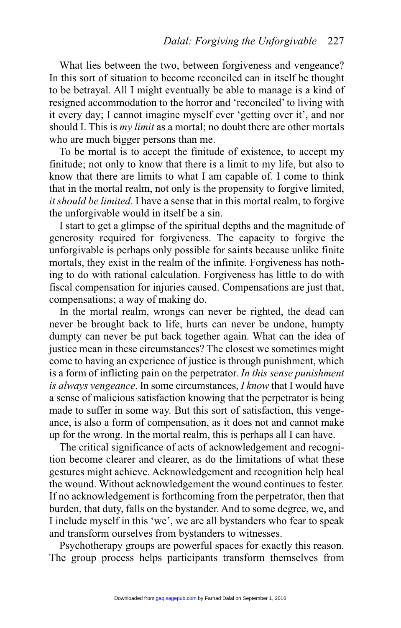What lies between the two, between forgiveness and vengeance? In this sort of situation to become reconciled can in itself be thought to be betrayal. All I might eventually be able to manage is a kind of resigned accommodation to the horror and 'reconciled' to living with it every day; I cannot imagine myself ever 'getting over it', and nor should I. This is *my limit* as a mortal; no doubt there are other mortals who are much bigger persons than me.

To be mortal is to accept the finitude of existence, to accept my finitude; not only to know that there is a limit to my life, but also to know that there are limits to what I am capable of. I come to think that in the mortal realm, not only is the propensity to forgive limited, *it should be limited*. I have a sense that in this mortal realm, to forgive the unforgivable would in itself be a sin.

I start to get a glimpse of the spiritual depths and the magnitude of generosity required for forgiveness. The capacity to forgive the unforgivable is perhaps only possible for saints because unlike finite mortals, they exist in the realm of the infinite. Forgiveness has nothing to do with rational calculation. Forgiveness has little to do with fiscal compensation for injuries caused. Compensations are just that, compensations; a way of making do.

In the mortal realm, wrongs can never be righted, the dead can never be brought back to life, hurts can never be undone, humpty dumpty can never be put back together again. What can the idea of justice mean in these circumstances? The closest we sometimes might come to having an experience of justice is through punishment, which is a form of inflicting pain on the perpetrator. *In this sense punishment is always vengeance*. In some circumstances, *I know* that I would have a sense of malicious satisfaction knowing that the perpetrator is being made to suffer in some way. But this sort of satisfaction, this vengeance, is also a form of compensation, as it does not and cannot make up for the wrong. In the mortal realm, this is perhaps all I can have.

The critical significance of acts of acknowledgement and recognition become clearer and clearer, as do the limitations of what these gestures might achieve. Acknowledgement and recognition help heal the wound. Without acknowledgement the wound continues to fester. If no acknowledgement is forthcoming from the perpetrator, then that burden, that duty, falls on the bystander. And to some degree, we, and I include myself in this 'we', we are all bystanders who fear to speak and transform ourselves from bystanders to witnesses.

Psychotherapy groups are powerful spaces for exactly this reason. The group process helps participants transform themselves from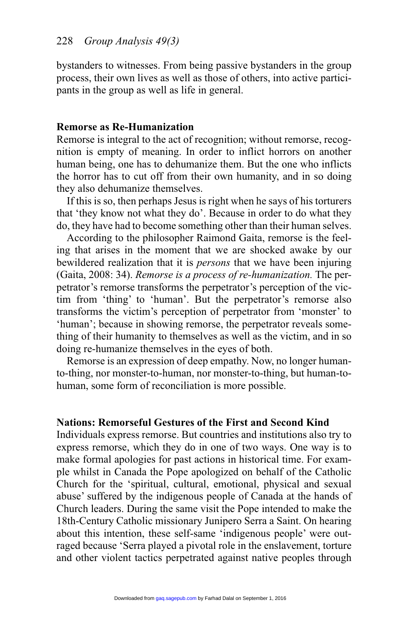bystanders to witnesses. From being passive bystanders in the group process, their own lives as well as those of others, into active participants in the group as well as life in general.

## **Remorse as Re-Humanization**

Remorse is integral to the act of recognition; without remorse, recognition is empty of meaning. In order to inflict horrors on another human being, one has to dehumanize them. But the one who inflicts the horror has to cut off from their own humanity, and in so doing they also dehumanize themselves.

If this is so, then perhaps Jesus is right when he says of his torturers that 'they know not what they do'. Because in order to do what they do, they have had to become something other than their human selves.

According to the philosopher Raimond Gaita, remorse is the feeling that arises in the moment that we are shocked awake by our bewildered realization that it is *persons* that we have been injuring (Gaita, 2008: 34). *Remorse is a process of re-humanization.* The perpetrator's remorse transforms the perpetrator's perception of the victim from 'thing' to 'human'. But the perpetrator's remorse also transforms the victim's perception of perpetrator from 'monster' to 'human'; because in showing remorse, the perpetrator reveals something of their humanity to themselves as well as the victim, and in so doing re-humanize themselves in the eyes of both.

Remorse is an expression of deep empathy. Now, no longer humanto-thing, nor monster-to-human, nor monster-to-thing, but human-tohuman, some form of reconciliation is more possible.

# **Nations: Remorseful Gestures of the First and Second Kind**

Individuals express remorse. But countries and institutions also try to express remorse, which they do in one of two ways. One way is to make formal apologies for past actions in historical time. For example whilst in Canada the Pope apologized on behalf of the Catholic Church for the 'spiritual, cultural, emotional, physical and sexual abuse' suffered by the indigenous people of Canada at the hands of Church leaders. During the same visit the Pope intended to make the 18th-Century Catholic missionary Junipero Serra a Saint. On hearing about this intention, these self-same 'indigenous people' were outraged because 'Serra played a pivotal role in the enslavement, torture and other violent tactics perpetrated against native peoples through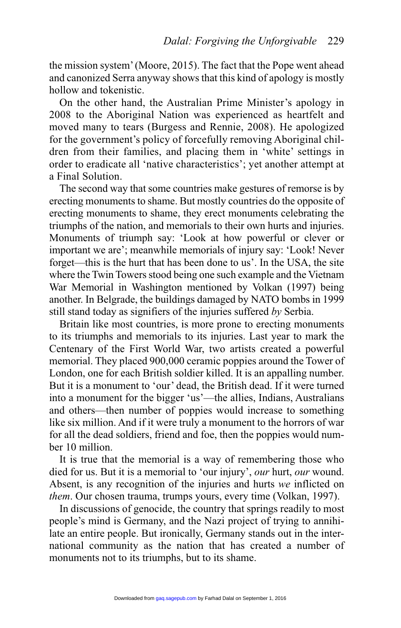the mission system' (Moore, 2015). The fact that the Pope went ahead and canonized Serra anyway shows that this kind of apology is mostly hollow and tokenistic.

On the other hand, the Australian Prime Minister's apology in 2008 to the Aboriginal Nation was experienced as heartfelt and moved many to tears (Burgess and Rennie, 2008). He apologized for the government's policy of forcefully removing Aboriginal children from their families, and placing them in 'white' settings in order to eradicate all 'native characteristics'; yet another attempt at a Final Solution.

The second way that some countries make gestures of remorse is by erecting monuments to shame. But mostly countries do the opposite of erecting monuments to shame, they erect monuments celebrating the triumphs of the nation, and memorials to their own hurts and injuries. Monuments of triumph say: 'Look at how powerful or clever or important we are'; meanwhile memorials of injury say: 'Look! Never forget—this is the hurt that has been done to us'. In the USA, the site where the Twin Towers stood being one such example and the Vietnam War Memorial in Washington mentioned by Volkan (1997) being another. In Belgrade, the buildings damaged by NATO bombs in 1999 still stand today as signifiers of the injuries suffered *by* Serbia.

Britain like most countries, is more prone to erecting monuments to its triumphs and memorials to its injuries. Last year to mark the Centenary of the First World War, two artists created a powerful memorial. They placed 900,000 ceramic poppies around the Tower of London, one for each British soldier killed. It is an appalling number. But it is a monument to 'our' dead, the British dead. If it were turned into a monument for the bigger 'us'—the allies, Indians, Australians and others—then number of poppies would increase to something like six million. And if it were truly a monument to the horrors of war for all the dead soldiers, friend and foe, then the poppies would number 10 million.

It is true that the memorial is a way of remembering those who died for us. But it is a memorial to 'our injury', *our* hurt, *our* wound. Absent, is any recognition of the injuries and hurts *we* inflicted on *them*. Our chosen trauma, trumps yours, every time (Volkan, 1997).

In discussions of genocide, the country that springs readily to most people's mind is Germany, and the Nazi project of trying to annihilate an entire people. But ironically, Germany stands out in the international community as the nation that has created a number of monuments not to its triumphs, but to its shame.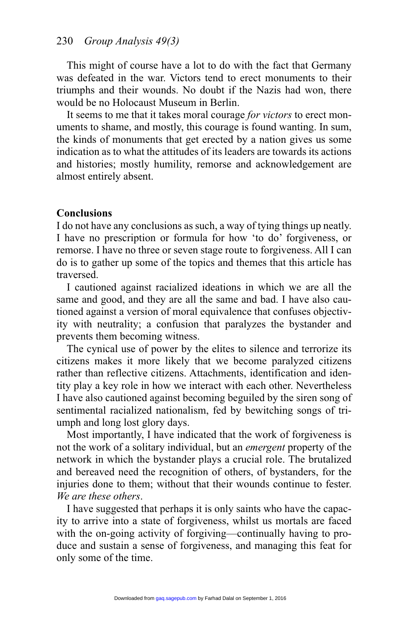This might of course have a lot to do with the fact that Germany was defeated in the war. Victors tend to erect monuments to their triumphs and their wounds. No doubt if the Nazis had won, there would be no Holocaust Museum in Berlin.

It seems to me that it takes moral courage *for victors* to erect monuments to shame, and mostly, this courage is found wanting. In sum, the kinds of monuments that get erected by a nation gives us some indication as to what the attitudes of its leaders are towards its actions and histories; mostly humility, remorse and acknowledgement are almost entirely absent.

# **Conclusions**

I do not have any conclusions as such, a way of tying things up neatly. I have no prescription or formula for how 'to do' forgiveness, or remorse. I have no three or seven stage route to forgiveness. All I can do is to gather up some of the topics and themes that this article has traversed.

I cautioned against racialized ideations in which we are all the same and good, and they are all the same and bad. I have also cautioned against a version of moral equivalence that confuses objectivity with neutrality; a confusion that paralyzes the bystander and prevents them becoming witness.

The cynical use of power by the elites to silence and terrorize its citizens makes it more likely that we become paralyzed citizens rather than reflective citizens. Attachments, identification and identity play a key role in how we interact with each other. Nevertheless I have also cautioned against becoming beguiled by the siren song of sentimental racialized nationalism, fed by bewitching songs of triumph and long lost glory days.

Most importantly, I have indicated that the work of forgiveness is not the work of a solitary individual, but an *emergent* property of the network in which the bystander plays a crucial role. The brutalized and bereaved need the recognition of others, of bystanders, for the injuries done to them; without that their wounds continue to fester. *We are these others*.

I have suggested that perhaps it is only saints who have the capacity to arrive into a state of forgiveness, whilst us mortals are faced with the on-going activity of forgiving—continually having to produce and sustain a sense of forgiveness, and managing this feat for only some of the time.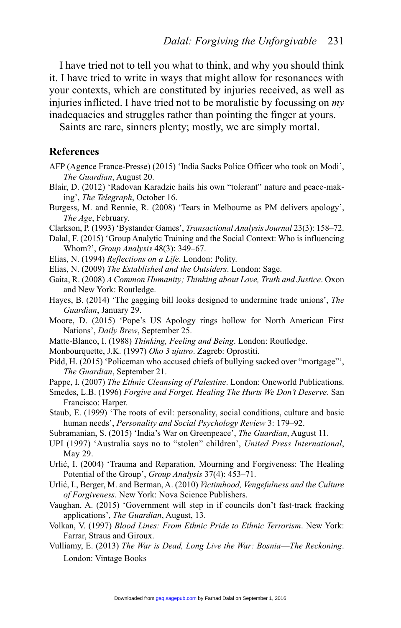I have tried not to tell you what to think, and why you should think it. I have tried to write in ways that might allow for resonances with your contexts, which are constituted by injuries received, as well as injuries inflicted. I have tried not to be moralistic by focussing on *my* inadequacies and struggles rather than pointing the finger at yours.

Saints are rare, sinners plenty; mostly, we are simply mortal.

#### **References**

- AFP (Agence France-Presse) (2015) 'India Sacks Police Officer who took on Modi', *The Guardian*, August 20.
- Blair, D. (2012) 'Radovan Karadzic hails his own "tolerant" nature and peace-making', *The Telegraph*, October 16.
- Burgess, M. and Rennie, R. (2008) 'Tears in Melbourne as PM delivers apology', *The Age*, February.
- Clarkson, P. (1993) 'Bystander Games', *Transactional Analysis Journal* 23(3): 158–72.
- Dalal, F. (2015) 'Group Analytic Training and the Social Context: Who is influencing Whom?', *Group Analysis* 48(3): 349–67.
- Elias, N. (1994) *Reflections on a Life*. London: Polity.
- Elias, N. (2009) *The Established and the Outsiders*. London: Sage.
- Gaita, R. (2008) *A Common Humanity; Thinking about Love, Truth and Justice*. Oxon and New York: Routledge.
- Hayes, B. (2014) 'The gagging bill looks designed to undermine trade unions', *The Guardian*, January 29.
- Moore, D. (2015) 'Pope's US Apology rings hollow for North American First Nations', *Daily Brew*, September 25.
- Matte-Blanco, I. (1988) *Thinking, Feeling and Being*. London: Routledge.
- Monbourquette, J.K. (1997) *Oko 3 ujutro*. Zagreb: Oprostiti.
- Pidd, H. (2015) 'Policeman who accused chiefs of bullying sacked over "mortgage"', *The Guardian*, September 21.
- Pappe, I. (2007) *The Ethnic Cleansing of Palestine*. London: Oneworld Publications.
- Smedes, L.B. (1996) *Forgive and Forget. Healing The Hurts We Don't Deserve*. San Francisco: Harper.
- Staub, E. (1999) 'The roots of evil: personality, social conditions, culture and basic human needs', *Personality and Social Psychology Review* 3: 179–92.
- Subramanian, S. (2015) 'India's War on Greenpeace', *The Guardian*, August 11.
- UPI (1997) 'Australia says no to "stolen" children', *United Press International*, May 29.
- Urlić, I. (2004) 'Trauma and Reparation, Mourning and Forgiveness: The Healing Potential of the Group', *Group Analysis* 37(4): 453–71.
- Urlić, I., Berger, M. and Berman, A. (2010) *Victimhood, Vengefulness and the Culture of Forgiveness*. New York: Nova Science Publishers.
- Vaughan, A. (2015) 'Government will step in if councils don't fast-track fracking applications', *The Guardian*, August, 13.
- Volkan, V. (1997) *Blood Lines: From Ethnic Pride to Ethnic Terrorism*. New York: Farrar, Straus and Giroux.
- Vulliamy, E. (2013) *The War is Dead, Long Live the War: Bosnia*—*The Reckoning*. London: Vintage Books